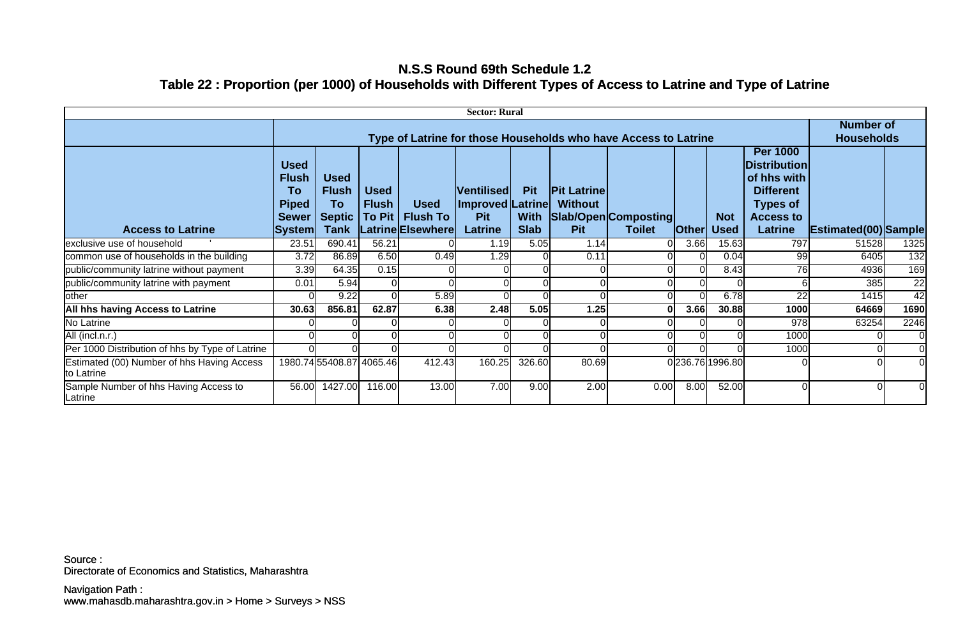## **N.S.S Round 69th Schedule 1.2 Table 22 : Proportion (per 1000) of Households with Different Types of Access to Latrine and Type of Latrine**

| <b>Sector: Rural</b>                                     |                                                                               |                                                            |                                       |                                                     |                                                                              |                                          |                                                    |                                       |              |                    |                                                                                                                                    |                                       |                 |
|----------------------------------------------------------|-------------------------------------------------------------------------------|------------------------------------------------------------|---------------------------------------|-----------------------------------------------------|------------------------------------------------------------------------------|------------------------------------------|----------------------------------------------------|---------------------------------------|--------------|--------------------|------------------------------------------------------------------------------------------------------------------------------------|---------------------------------------|-----------------|
|                                                          | Type of Latrine for those Households who have Access to Latrine               |                                                            |                                       |                                                     |                                                                              |                                          |                                                    |                                       |              |                    |                                                                                                                                    | <b>Number of</b><br><b>Households</b> |                 |
| <b>Access to Latrine</b>                                 | <b>Used</b><br><b>Flush</b><br>To<br><b>Piped</b><br><b>Sewer</b><br>∣System∣ | <b>Used</b><br><b>Flush</b><br>To<br><b>Septic</b><br>Tank | <b>Used</b><br><b>Flush</b><br>To Pit | <b>Used</b><br><b>Flush To</b><br>Latrine Elsewhere | <b>Ventilised</b><br><b>Improved Latrine</b><br><b>Pit</b><br><b>Latrine</b> | <b>Pit</b><br><b>With</b><br><b>Slab</b> | <b>Pit Latrine</b><br><b>Without</b><br><b>Pit</b> | Slab/Open Composting<br><b>Toilet</b> | <b>Other</b> | <b>Not</b><br>Used | <b>Per 1000</b><br><b>Distribution</b><br>of hhs with<br><b>Different</b><br><b>Types of</b><br><b>Access to</b><br><b>Latrine</b> | Estimated(00) Sample                  |                 |
| exclusive use of household                               | 23.51                                                                         | 690.41                                                     | 56.21                                 |                                                     | 1.19                                                                         | 5.05                                     | 1.14                                               | 0l                                    | 3.66         | 15.63              | 797                                                                                                                                | 51528                                 | 1325            |
| common use of households in the building                 | 3.72                                                                          | 86.89                                                      | 6.50                                  | 0.49                                                | 1.29                                                                         |                                          | 0.11                                               |                                       |              | 0.04               | 99                                                                                                                                 | 6405                                  | 132             |
| public/community latrine without payment                 | 3.39                                                                          | 64.35                                                      | 0.15                                  |                                                     |                                                                              |                                          |                                                    |                                       | 0l           | 8.43               | 76                                                                                                                                 | 4936                                  | 169             |
| public/community latrine with payment                    | 0.01                                                                          | 5.94                                                       |                                       |                                                     |                                                                              |                                          |                                                    |                                       |              |                    |                                                                                                                                    | 385                                   | $\overline{22}$ |
| other                                                    |                                                                               | 9.22                                                       |                                       | 5.89                                                |                                                                              |                                          |                                                    |                                       |              | 6.78               | 22                                                                                                                                 | 1415                                  | 42              |
| All hhs having Access to Latrine                         | 30.63                                                                         | 856.81                                                     | 62.87                                 | 6.38                                                | 2.48                                                                         | 5.05                                     | 1.25                                               |                                       | 3.66         | 30.88              | 1000                                                                                                                               | 64669                                 | 1690            |
| No Latrine                                               |                                                                               |                                                            |                                       |                                                     |                                                                              |                                          |                                                    |                                       |              |                    | 978                                                                                                                                | 63254                                 | 2246            |
| All (incl.n.r.)                                          |                                                                               |                                                            |                                       |                                                     |                                                                              |                                          |                                                    |                                       |              |                    | 1000                                                                                                                               |                                       | <sup>O</sup>    |
| Per 1000 Distribution of hhs by Type of Latrine          |                                                                               |                                                            |                                       |                                                     |                                                                              |                                          |                                                    |                                       |              |                    | 1000                                                                                                                               |                                       | $\overline{0}$  |
| Estimated (00) Number of hhs Having Access<br>to Latrine |                                                                               | 1980.7455408.87 4065.46                                    |                                       | 412.43                                              | 160.25                                                                       | 326.60                                   | 80.69                                              |                                       |              | 0236.76 1996.80    |                                                                                                                                    |                                       |                 |
| Sample Number of hhs Having Access to<br>Latrine         | 56.00                                                                         | 1427.00                                                    | 116.00                                | 13.00                                               | 7.00                                                                         | 9.00                                     | 2.00                                               | 0.00                                  | 8.00         | 52.00              | $\Omega$                                                                                                                           |                                       | 0l              |

Directorate of Economics and Statistics, Maharashtra Source :

www.mahasdb.maharashtra.gov.in > Home > Surveys > NSS Navigation Path :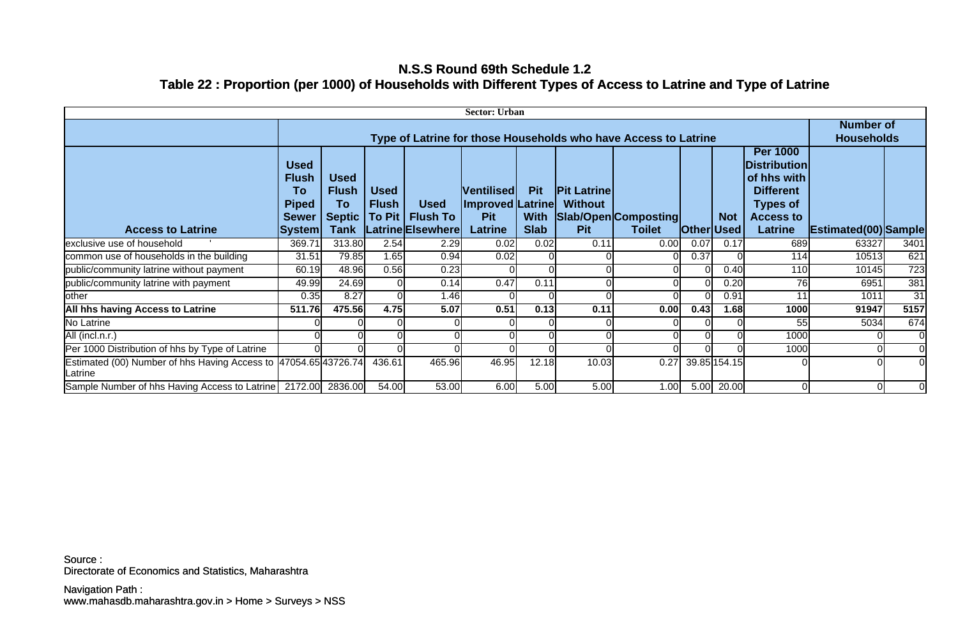## **N.S.S Round 69th Schedule 1.2 Table 22 : Proportion (per 1000) of Households with Different Types of Access to Latrine and Type of Latrine**

| <b>Sector: Urban</b>                                                         |                                                                             |                                                                   |                                           |                                                     |                                                                       |                                          |                                                    |                                       |              |                           |                                                                                                                                                      |                             |                                       |  |
|------------------------------------------------------------------------------|-----------------------------------------------------------------------------|-------------------------------------------------------------------|-------------------------------------------|-----------------------------------------------------|-----------------------------------------------------------------------|------------------------------------------|----------------------------------------------------|---------------------------------------|--------------|---------------------------|------------------------------------------------------------------------------------------------------------------------------------------------------|-----------------------------|---------------------------------------|--|
|                                                                              | Type of Latrine for those Households who have Access to Latrine             |                                                                   |                                           |                                                     |                                                                       |                                          |                                                    |                                       |              |                           |                                                                                                                                                      |                             | <b>Number of</b><br><b>Households</b> |  |
| <b>Access to Latrine</b>                                                     | <b>Used</b><br><b>Flush</b><br>To<br><b>Piped</b><br><b>Sewer</b><br>System | <b>Used</b><br><b>Flush</b><br>To<br><b>Septic</b><br><b>Tank</b> | <b>Used</b><br><b>Flush</b><br>To Pit $ $ | <b>Used</b><br><b>Flush To</b><br>Latrine Elsewhere | <b>Ventilised</b><br>Improved Latrine<br><b>Pit</b><br><b>Latrine</b> | <b>Pit</b><br><b>With</b><br><b>Slab</b> | <b>Pit Latrine</b><br><b>Without</b><br><b>Pit</b> | Slab/Open Composting<br><b>Toilet</b> | <b>Other</b> | <b>Not</b><br><b>Used</b> | <b>Per 1000</b><br><b>Distribution</b><br>$\bm{\mathsf{I}}$ of hhs with<br><b>Different</b><br><b>Types of</b><br><b>Access to</b><br><b>Latrine</b> | <b>Estimated(00)</b> Sample |                                       |  |
| exclusive use of household                                                   | 369.71                                                                      | 313.80                                                            | 2.54                                      | 2.29                                                | 0.02                                                                  | 0.02                                     | 0.11                                               | 0.00                                  | 0.07         | 0.17                      | 689                                                                                                                                                  | 63327                       | 3401                                  |  |
| common use of households in the building                                     | 31.51                                                                       | 79.85                                                             | 1.65                                      | 0.94                                                | 0.02                                                                  |                                          |                                                    |                                       | 0.37         |                           | 114                                                                                                                                                  | 10513                       | 621                                   |  |
| public/community latrine without payment                                     | 60.19                                                                       | 48.96                                                             | 0.56                                      | 0.23                                                |                                                                       |                                          |                                                    |                                       |              | 0.40                      | 110                                                                                                                                                  | 10145                       | 723                                   |  |
|                                                                              |                                                                             |                                                                   |                                           |                                                     |                                                                       |                                          |                                                    |                                       |              |                           |                                                                                                                                                      |                             | 381                                   |  |
| public/community latrine with payment                                        | 49.99                                                                       | 24.69                                                             |                                           | 0.14                                                | 0.47                                                                  | 0.11                                     |                                                    |                                       |              | 0.20                      | 76                                                                                                                                                   | 6951                        |                                       |  |
| other                                                                        | 0.35                                                                        | 8.27                                                              |                                           | 1.46                                                |                                                                       |                                          |                                                    |                                       |              | 0.91                      |                                                                                                                                                      | 1011                        | 31                                    |  |
| <b>All hhs having Access to Latrine</b>                                      | 511.76                                                                      | 475.56                                                            | 4.75                                      | 5.07                                                | 0.51                                                                  | 0.13                                     | 0.11                                               | 0.00                                  | 0.43         | 1.68                      | 1000                                                                                                                                                 | 91947                       | 5157                                  |  |
| No Latrine                                                                   |                                                                             |                                                                   |                                           |                                                     |                                                                       |                                          |                                                    |                                       |              |                           | 55                                                                                                                                                   | 5034                        | 674                                   |  |
| All (incl.n.r.)                                                              |                                                                             |                                                                   |                                           |                                                     |                                                                       |                                          |                                                    |                                       |              |                           | 1000                                                                                                                                                 |                             | $\Omega$                              |  |
| Per 1000 Distribution of hhs by Type of Latrine                              |                                                                             |                                                                   |                                           |                                                     |                                                                       |                                          |                                                    |                                       |              |                           | 1000                                                                                                                                                 |                             | $\overline{0}$                        |  |
| Estimated (00) Number of hhs Having Access to  47054.65 43726.74 <br>Latrine |                                                                             |                                                                   | 436.61                                    | 465.96                                              | 46.95                                                                 | 12.18                                    | 10.03                                              | 0.27                                  |              | 39.85 154.15              |                                                                                                                                                      |                             | $\Omega$                              |  |
| Sample Number of hhs Having Access to Latrine   2172.00 2836.00              |                                                                             |                                                                   | 54.00                                     | 53.00                                               | 6.00                                                                  | 5.00                                     | 5.00                                               | 1.00                                  | 5.00         | 20.00                     | $\overline{0}$                                                                                                                                       | $\Omega$                    | $\Omega$                              |  |

Directorate of Economics and Statistics, Maharashtra Source :

www.mahasdb.maharashtra.gov.in > Home > Surveys > NSS Navigation Path :